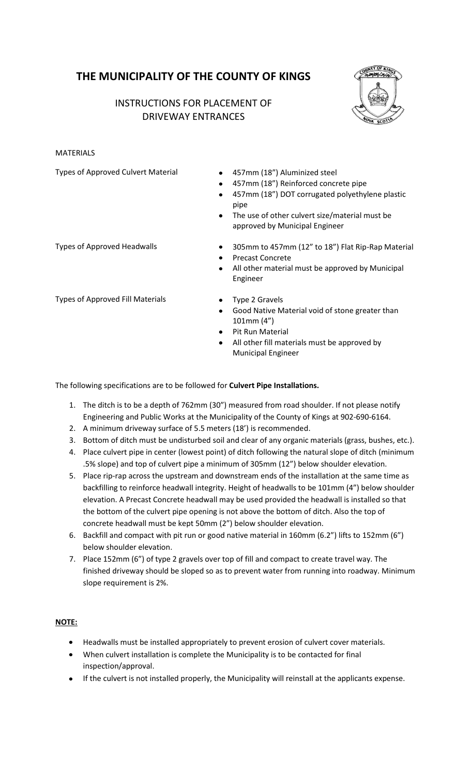# **THE MUNICIPALITY OF THE COUNTY OF KINGS**

## INSTRUCTIONS FOR PLACEMENT OF DRIVEWAY ENTRANCES



#### MATERIALS

Types of Approved Culvert Material • 457mm (18") Aluminized steel

- 
- 457mm (18") Reinforced concrete pipe
- 457mm (18") DOT corrugated polyethylene plastic pipe
- The use of other culvert size/material must be approved by Municipal Engineer
- Types of Approved Headwalls **305mm** to 457mm (12" to 18") Flat Rip-Rap Material
	- Precast Concrete
	- All other material must be approved by Municipal Engineer
- Types of Approved Fill Materials **Type 2 Gravels**
- - Good Native Material void of stone greater than 101mm (4")
	- Pit Run Material
	- All other fill materials must be approved by Municipal Engineer

The following specifications are to be followed for **Culvert Pipe Installations.**

- 1. The ditch is to be a depth of 762mm (30") measured from road shoulder. If not please notify Engineering and Public Works at the Municipality of the County of Kings at 902-690-6164.
- 2. A minimum driveway surface of 5.5 meters (18') is recommended.
- 3. Bottom of ditch must be undisturbed soil and clear of any organic materials (grass, bushes, etc.).
- 4. Place culvert pipe in center (lowest point) of ditch following the natural slope of ditch (minimum .5% slope) and top of culvert pipe a minimum of 305mm (12") below shoulder elevation.
- 5. Place rip-rap across the upstream and downstream ends of the installation at the same time as backfilling to reinforce headwall integrity. Height of headwalls to be 101mm (4") below shoulder elevation. A Precast Concrete headwall may be used provided the headwall is installed so that the bottom of the culvert pipe opening is not above the bottom of ditch. Also the top of concrete headwall must be kept 50mm (2") below shoulder elevation.
- 6. Backfill and compact with pit run or good native material in 160mm (6.2") lifts to 152mm (6") below shoulder elevation.
- 7. Place 152mm (6") of type 2 gravels over top of fill and compact to create travel way. The finished driveway should be sloped so as to prevent water from running into roadway. Minimum slope requirement is 2%.

### **NOTE:**

- Headwalls must be installed appropriately to prevent erosion of culvert cover materials.
- When culvert installation is complete the Municipality is to be contacted for final inspection/approval.
- If the culvert is not installed properly, the Municipality will reinstall at the applicants expense.